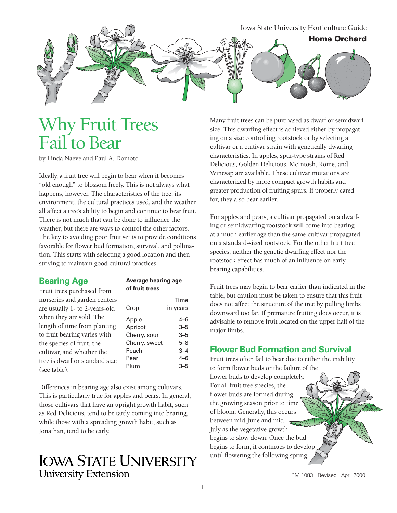

# Why Fruit Trees Fail to Bear

by Linda Naeve and Paul A. Domoto

Ideally, a fruit tree will begin to bear when it becomes "old enough" to blossom freely. This is not always what happens, however. The characteristics of the tree, its environment, the cultural practices used, and the weather all affect a tree's ability to begin and continue to bear fruit. There is not much that can be done to influence the weather, but there are ways to control the other factors. The key to avoiding poor fruit set is to provide conditions favorable for flower bud formation, survival, and pollination. This starts with selecting a good location and then striving to maintain good cultural practices.

Fruit trees purchased from nurseries and garden centers are usually 1- to 2-years-old when they are sold. The length of time from planting to fruit bearing varies with the species of fruit, the cultivar, and whether the tree is dwarf or standard size (see table).

## **Bearing Age** Average bearing age<br> **Could be a set of fruit trees**

| Time<br>in years |
|------------------|
| 4–6              |
| $3 - 5$          |
| $3 - 5$          |
| 5–8              |
| $3 - 4$          |
| $4 - 6$          |
| $3 - 5$          |
|                  |

Differences in bearing age also exist among cultivars. This is particularly true for apples and pears. In general, those cultivars that have an upright growth habit, such as Red Delicious, tend to be tardy coming into bearing, while those with a spreading growth habit, such as Jonathan, tend to be early.

### **IOWA STATE UNIVERSITY University Extension**

Many fruit trees can be purchased as dwarf or semidwarf size. This dwarfing effect is achieved either by propagating on a size controlling rootstock or by selecting a cultivar or a cultivar strain with genetically dwarfing characteristics. In apples, spur-type strains of Red Delicious, Golden Delicious, McIntosh, Rome, and Winesap are available. These cultivar mutations are characterized by more compact growth habits and greater production of fruiting spurs. If properly cared for, they also bear earlier.

For apples and pears, a cultivar propagated on a dwarfing or semidwarfing rootstock will come into bearing at a much earlier age than the same cultivar propagated on a standard-sized rootstock. For the other fruit tree species, neither the genetic dwarfing effect nor the rootstock effect has much of an influence on early bearing capabilities.

Fruit trees may begin to bear earlier than indicated in the table, but caution must be taken to ensure that this fruit does not affect the structure of the tree by pulling limbs downward too far. If premature fruiting does occur, it is advisable to remove fruit located on the upper half of the major limbs.

#### **Flower Bud Formation and Survival**

Fruit trees often fail to bear due to either the inability to form flower buds or the failure of the flower buds to develop completely. For all fruit tree species, the flower buds are formed during the growing season prior to time of bloom. Generally, this occurs between mid-June and mid-July as the vegetative growth begins to slow down. Once the bud begins to form, it continues to develop until flowering the following spring.

PM 1083 Revised April 2000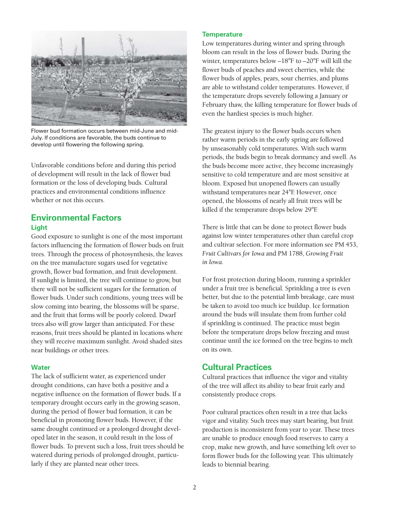

Flower bud formation occurs between mid-June and mid-July. If conditions are favorable, the buds continue to develop until flowering the following spring.

Unfavorable conditions before and during this period of development will result in the lack of flower bud formation or the loss of developing buds. Cultural practices and environmental conditions influence whether or not this occurs.

### **Environmental Factors Light**

Good exposure to sunlight is one of the most important factors influencing the formation of flower buds on fruit trees. Through the process of photosynthesis, the leaves on the tree manufacture sugars used for vegetative growth, flower bud formation, and fruit development. If sunlight is limited, the tree will continue to grow, but there will not be sufficient sugars for the formation of flower buds. Under such conditions, young trees will be slow coming into bearing, the blossoms will be sparse, and the fruit that forms will be poorly colored. Dwarf trees also will grow larger than anticipated. For these reasons, fruit trees should be planted in locations where they will receive maximum sunlight. Avoid shaded sites near buildings or other trees.

#### **Water**

The lack of sufficient water, as experienced under drought conditions, can have both a positive and a negative influence on the formation of flower buds. If a temporary drought occurs early in the growing season, during the period of flower bud formation, it can be beneficial in promoting flower buds. However, if the same drought continued or a prolonged drought developed later in the season, it could result in the loss of flower buds. To prevent such a loss, fruit trees should be watered during periods of prolonged drought, particularly if they are planted near other trees.

#### **Temperature**

Low temperatures during winter and spring through bloom can result in the loss of flower buds. During the winter, temperatures below –18°F to –20°F will kill the flower buds of peaches and sweet cherries, while the flower buds of apples, pears, sour cherries, and plums are able to withstand colder temperatures. However, if the temperature drops severely following a January or February thaw, the killing temperature for flower buds of even the hardiest species is much higher.

The greatest injury to the flower buds occurs when rather warm periods in the early spring are followed by unseasonably cold temperatures. With such warm periods, the buds begin to break dormancy and swell. As the buds become more active, they become increasingly sensitive to cold temperature and are most sensitive at bloom. Exposed but unopened flowers can usually withstand temperatures near 24°F. However, once opened, the blossoms of nearly all fruit trees will be killed if the temperature drops below 29°F.

There is little that can be done to protect flower buds against low winter temperatures other than careful crop and cultivar selection. For more information see PM 453, *Fruit Cultivars for Iowa* and PM 1788, *Growing Fruit in Iowa.* 

For frost protection during bloom, running a sprinkler under a fruit tree is beneficial. Sprinkling a tree is even better, but due to the potential limb breakage, care must be taken to avoid too much ice buildup. Ice formation around the buds will insulate them from further cold if sprinkling is continued. The practice must begin before the temperature drops below freezing and must continue until the ice formed on the tree begins to melt on its own.

### **Cultural Practices**

Cultural practices that influence the vigor and vitality of the tree will affect its ability to bear fruit early and consistently produce crops.

Poor cultural practices often result in a tree that lacks vigor and vitality. Such trees may start bearing, but fruit production is inconsistent from year to year. These trees are unable to produce enough food reserves to carry a crop, make new growth, and have something left over to form flower buds for the following year. This ultimately leads to biennial bearing.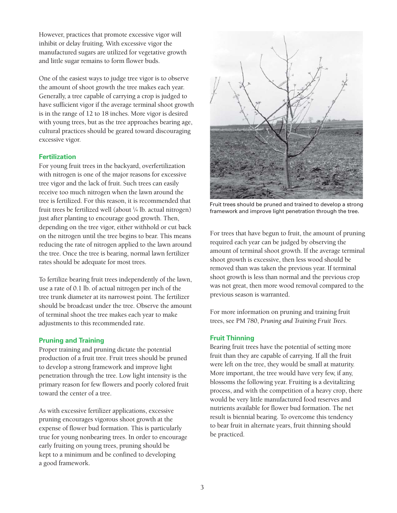However, practices that promote excessive vigor will inhibit or delay fruiting. With excessive vigor the manufactured sugars are utilized for vegetative growth and little sugar remains to form flower buds.

One of the easiest ways to judge tree vigor is to observe the amount of shoot growth the tree makes each year. Generally, a tree capable of carrying a crop is judged to have sufficient vigor if the average terminal shoot growth is in the range of 12 to 18 inches. More vigor is desired with young trees, but as the tree approaches bearing age, cultural practices should be geared toward discouraging excessive vigor.

#### **Fertilization**

For young fruit trees in the backyard, overfertilization with nitrogen is one of the major reasons for excessive tree vigor and the lack of fruit. Such trees can easily receive too much nitrogen when the lawn around the tree is fertilized. For this reason, it is recommended that fruit trees be fertilized well (about 1 ⁄4 lb. actual nitrogen) just after planting to encourage good growth. Then, depending on the tree vigor, either withhold or cut back on the nitrogen until the tree begins to bear. This means reducing the rate of nitrogen applied to the lawn around the tree. Once the tree is bearing, normal lawn fertilizer rates should be adequate for most trees.

To fertilize bearing fruit trees independently of the lawn, use a rate of 0.1 lb. of actual nitrogen per inch of the tree trunk diameter at its narrowest point. The fertilizer should be broadcast under the tree. Observe the amount of terminal shoot the tree makes each year to make adjustments to this recommended rate.

#### **Pruning and Training**

Proper training and pruning dictate the potential production of a fruit tree. Fruit trees should be pruned to develop a strong framework and improve light penetration through the tree. Low light intensity is the primary reason for few flowers and poorly colored fruit toward the center of a tree.

As with excessive fertilizer applications, excessive pruning encourages vigorous shoot growth at the expense of flower bud formation. This is particularly true for young nonbearing trees. In order to encourage early fruiting on young trees, pruning should be kept to a minimum and be confined to developing a good framework.



Fruit trees should be pruned and trained to develop a strong framework and improve light penetration through the tree.

For trees that have begun to fruit, the amount of pruning required each year can be judged by observing the amount of terminal shoot growth. If the average terminal shoot growth is excessive, then less wood should be removed than was taken the previous year. If terminal shoot growth is less than normal and the previous crop was not great, then more wood removal compared to the previous season is warranted.

For more information on pruning and training fruit trees, see PM 780, *Pruning and Training Fruit Trees.* 

#### **Fruit Thinning**

Bearing fruit trees have the potential of setting more fruit than they are capable of carrying. If all the fruit were left on the tree, they would be small at maturity. More important, the tree would have very few, if any, blossoms the following year. Fruiting is a devitalizing process, and with the competition of a heavy crop, there would be very little manufactured food reserves and nutrients available for flower bud formation. The net result is biennial bearing. To overcome this tendency to bear fruit in alternate years, fruit thinning should be practiced.